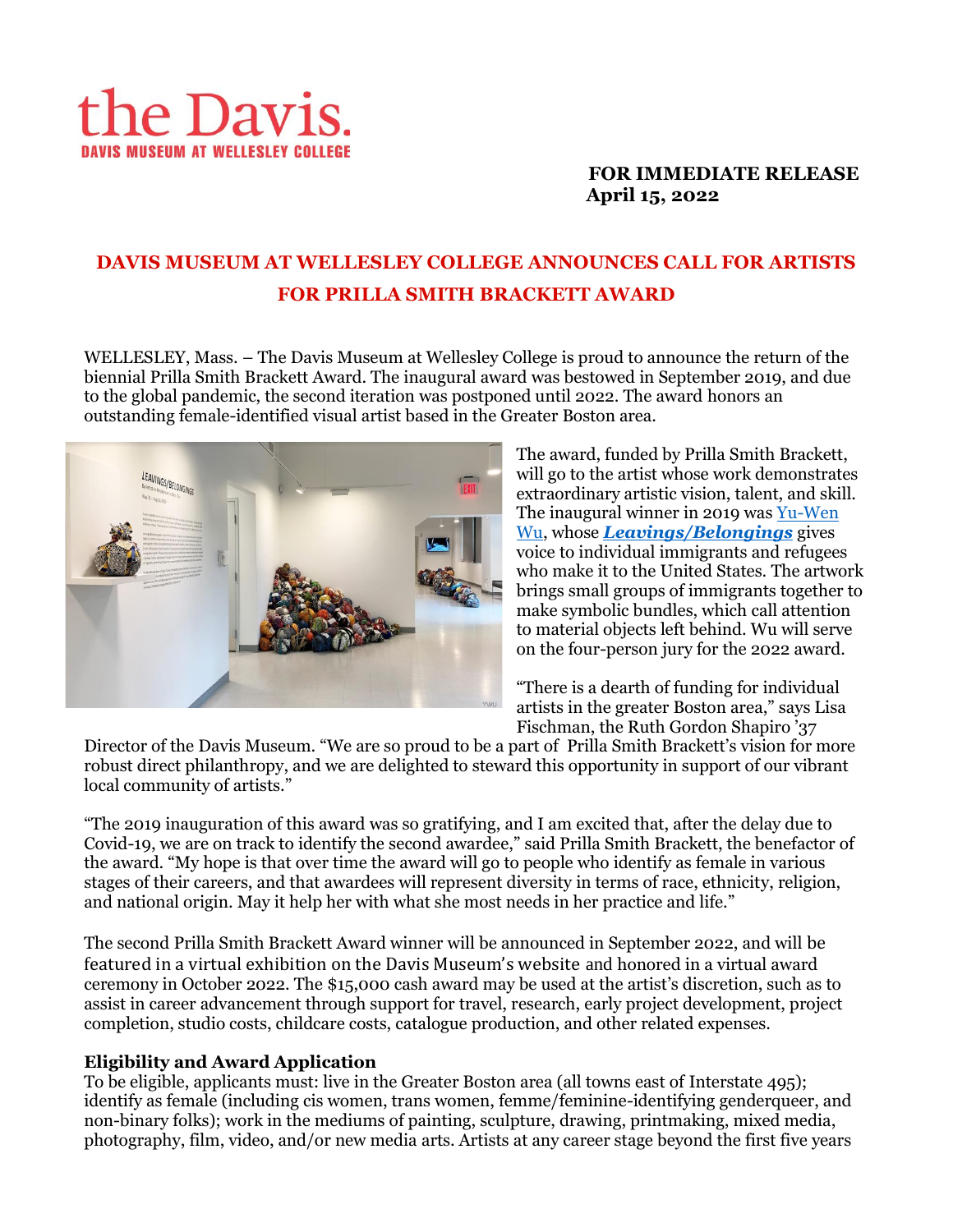

# **FOR IMMEDIATE RELEASE April 15, 2022**

# **DAVIS MUSEUM AT WELLESLEY COLLEGE ANNOUNCES CALL FOR ARTISTS FOR PRILLA SMITH BRACKETT AWARD**

WELLESLEY, Mass. – The Davis Museum at Wellesley College is proud to announce the return of the biennial Prilla Smith Brackett Award. The inaugural award was bestowed in September 2019, and due to the global pandemic, the second iteration was postponed until 2022. The award honors an outstanding female-identified visual artist based in the Greater Boston area.



The award, funded by Prilla Smith Brackett, will go to the artist whose work demonstrates extraordinary artistic vision, talent, and skill. The inaugural winner in 2019 was [Yu-Wen](about:blank)  [Wu,](about:blank) whose *[Leavings/Belongings](https://www.wellesley.edu/davismuseum/whats-on/Virtual_platform/yu-wenexhibit)* gives voice to individual immigrants and refugees who make it to the United States. The artwork brings small groups of immigrants together to make symbolic bundles, which call attention to material objects left behind. Wu will serve on the four-person jury for the 2022 award.

"There is a dearth of funding for individual artists in the greater Boston area," says Lisa Fischman, the Ruth Gordon Shapiro '37

Director of the Davis Museum. "We are so proud to be a part of Prilla Smith Brackett's vision for more robust direct philanthropy, and we are delighted to steward this opportunity in support of our vibrant local community of artists."

"The 2019 inauguration of this award was so gratifying, and I am excited that, after the delay due to Covid-19, we are on track to identify the second awardee," said Prilla Smith Brackett, the benefactor of the award. "My hope is that over time the award will go to people who identify as female in various stages of their careers, and that awardees will represent diversity in terms of race, ethnicity, religion, and national origin. May it help her with what she most needs in her practice and life."

The second Prilla Smith Brackett Award winner will be announced in September 2022, and will be featured in a virtual exhibition on the Davis Museum's website and honored in a virtual award ceremony in October 2022. The \$15,000 cash award may be used at the artist's discretion, such as to assist in career advancement through support for travel, research, early project development, project completion, studio costs, childcare costs, catalogue production, and other related expenses.

## **Eligibility and Award Application**

To be eligible, applicants must: live in the Greater Boston area (all towns east of Interstate 495); identify as female (including cis women, trans women, femme/feminine-identifying genderqueer, and non-binary folks); work in the mediums of painting, sculpture, drawing, printmaking, mixed media, photography, film, video, and/or new media arts. Artists at any career stage beyond the first five years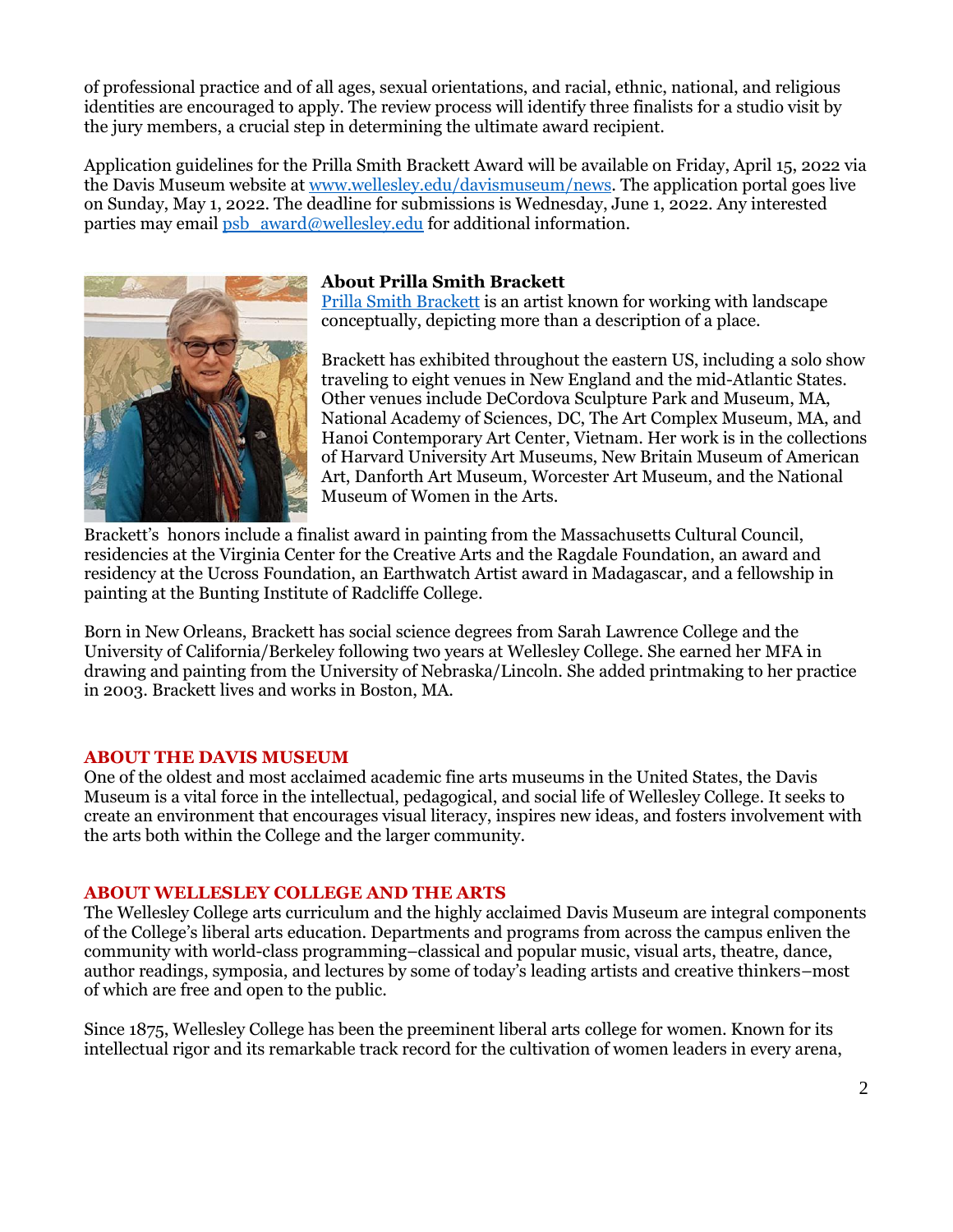of professional practice and of all ages, sexual orientations, and racial, ethnic, national, and religious identities are encouraged to apply. The review process will identify three finalists for a studio visit by the jury members, a crucial step in determining the ultimate award recipient.

Application guidelines for the Prilla Smith Brackett Award will be available on Friday, April 15, 2022 via the Davis Museum website a[t www.wellesley.edu/davismuseum/](http://www.wellesley.edu/davismuseum)news. The application portal goes live on Sunday, May 1, 2022. The deadline for submissions is Wednesday, June 1, 2022. Any interested parties may email [psb\\_award@wellesley.edu](mailto:psb_award@wellesley.edu) for additional information.



#### **About Prilla Smith Brackett**

[Prilla Smith Brackett](https://www.prillasmithbrackett.com/) is an artist known for working with landscape conceptually, depicting more than a description of a place.

Brackett has exhibited throughout the eastern US, including a solo show traveling to eight venues in New England and the mid-Atlantic States. Other venues include DeCordova Sculpture Park and Museum, MA, National Academy of Sciences, DC, The Art Complex Museum, MA, and Hanoi Contemporary Art Center, Vietnam. Her work is in the collections of Harvard University Art Museums, New Britain Museum of American Art, Danforth Art Museum, Worcester Art Museum, and the National Museum of Women in the Arts.

Brackett's honors include a finalist award in painting from the Massachusetts Cultural Council, residencies at the Virginia Center for the Creative Arts and the Ragdale Foundation, an award and residency at the Ucross Foundation, an Earthwatch Artist award in Madagascar, and a fellowship in painting at the Bunting Institute of Radcliffe College.

Born in New Orleans, Brackett has social science degrees from Sarah Lawrence College and the University of California/Berkeley following two years at Wellesley College. She earned her MFA in drawing and painting from the University of Nebraska/Lincoln. She added printmaking to her practice in 2003. Brackett lives and works in Boston, MA.

## **ABOUT THE DAVIS MUSEUM**

One of the oldest and most acclaimed academic fine arts museums in the United States, the Davis Museum is a vital force in the intellectual, pedagogical, and social life of Wellesley College. It seeks to create an environment that encourages visual literacy, inspires new ideas, and fosters involvement with the arts both within the College and the larger community.

#### **ABOUT WELLESLEY COLLEGE AND THE ARTS**

The Wellesley College arts curriculum and the highly acclaimed Davis Museum are integral components of the College's liberal arts education. Departments and programs from across the campus enliven the community with world-class programming–classical and popular music, visual arts, theatre, dance, author readings, symposia, and lectures by some of today's leading artists and creative thinkers–most of which are free and open to the public.

Since 1875, Wellesley College has been the preeminent liberal arts college for women. Known for its intellectual rigor and its remarkable track record for the cultivation of women leaders in every arena,